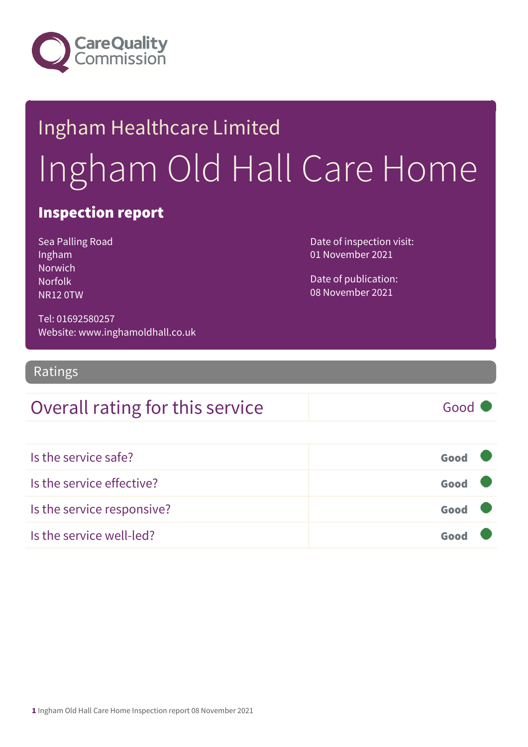

# Ingham Healthcare Limited Ingham Old Hall Care Home

### Inspection report

Sea Palling Road Ingham Norwich Norfolk NR12 0TW

Date of inspection visit: 01 November 2021

Date of publication: 08 November 2021

Tel: 01692580257 Website: www.inghamoldhall.co.uk

Ratings

### Overall rating for this service and all the Good

| Is the service safe?       | Good |  |
|----------------------------|------|--|
| Is the service effective?  | Good |  |
| Is the service responsive? | Good |  |
| Is the service well-led?   | Good |  |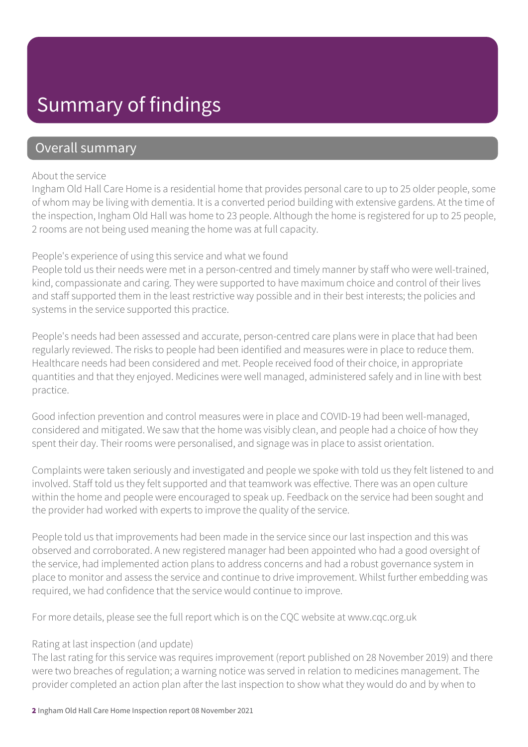### Summary of findings

### Overall summary

#### About the service

Ingham Old Hall Care Home is a residential home that provides personal care to up to 25 older people, some of whom may be living with dementia. It is a converted period building with extensive gardens. At the time of the inspection, Ingham Old Hall was home to 23 people. Although the home is registered for up to 25 people, 2 rooms are not being used meaning the home was at full capacity.

#### People's experience of using this service and what we found

People told us their needs were met in a person-centred and timely manner by staff who were well-trained, kind, compassionate and caring. They were supported to have maximum choice and control of their lives and staff supported them in the least restrictive way possible and in their best interests; the policies and systems in the service supported this practice.

People's needs had been assessed and accurate, person-centred care plans were in place that had been regularly reviewed. The risks to people had been identified and measures were in place to reduce them. Healthcare needs had been considered and met. People received food of their choice, in appropriate quantities and that they enjoyed. Medicines were well managed, administered safely and in line with best practice.

Good infection prevention and control measures were in place and COVID-19 had been well-managed, considered and mitigated. We saw that the home was visibly clean, and people had a choice of how they spent their day. Their rooms were personalised, and signage was in place to assist orientation.

Complaints were taken seriously and investigated and people we spoke with told us they felt listened to and involved. Staff told us they felt supported and that teamwork was effective. There was an open culture within the home and people were encouraged to speak up. Feedback on the service had been sought and the provider had worked with experts to improve the quality of the service.

People told us that improvements had been made in the service since our last inspection and this was observed and corroborated. A new registered manager had been appointed who had a good oversight of the service, had implemented action plans to address concerns and had a robust governance system in place to monitor and assess the service and continue to drive improvement. Whilst further embedding was required, we had confidence that the service would continue to improve.

For more details, please see the full report which is on the CQC website at www.cqc.org.uk

#### Rating at last inspection (and update)

The last rating for this service was requires improvement (report published on 28 November 2019) and there were two breaches of regulation; a warning notice was served in relation to medicines management. The provider completed an action plan after the last inspection to show what they would do and by when to

2 Ingham Old Hall Care Home Inspection report 08 November 2021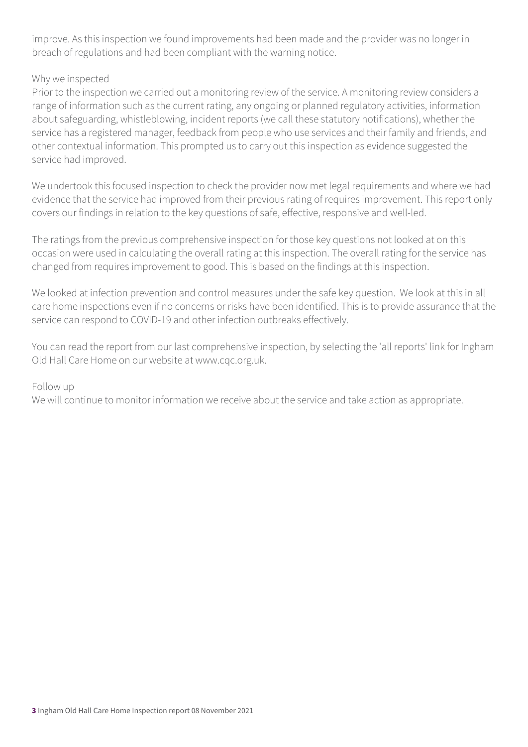improve. As this inspection we found improvements had been made and the provider was no longer in breach of regulations and had been compliant with the warning notice.

#### Why we inspected

Prior to the inspection we carried out a monitoring review of the service. A monitoring review considers a range of information such as the current rating, any ongoing or planned regulatory activities, information about safeguarding, whistleblowing, incident reports (we call these statutory notifications), whether the service has a registered manager, feedback from people who use services and their family and friends, and other contextual information. This prompted us to carry out this inspection as evidence suggested the service had improved.

We undertook this focused inspection to check the provider now met legal requirements and where we had evidence that the service had improved from their previous rating of requires improvement. This report only covers our findings in relation to the key questions of safe, effective, responsive and well-led.

The ratings from the previous comprehensive inspection for those key questions not looked at on this occasion were used in calculating the overall rating at this inspection. The overall rating for the service has changed from requires improvement to good. This is based on the findings at this inspection.

We looked at infection prevention and control measures under the safe key question. We look at this in all care home inspections even if no concerns or risks have been identified. This is to provide assurance that the service can respond to COVID-19 and other infection outbreaks effectively.

You can read the report from our last comprehensive inspection, by selecting the 'all reports' link for Ingham Old Hall Care Home on our website at www.cqc.org.uk.

#### Follow up

We will continue to monitor information we receive about the service and take action as appropriate.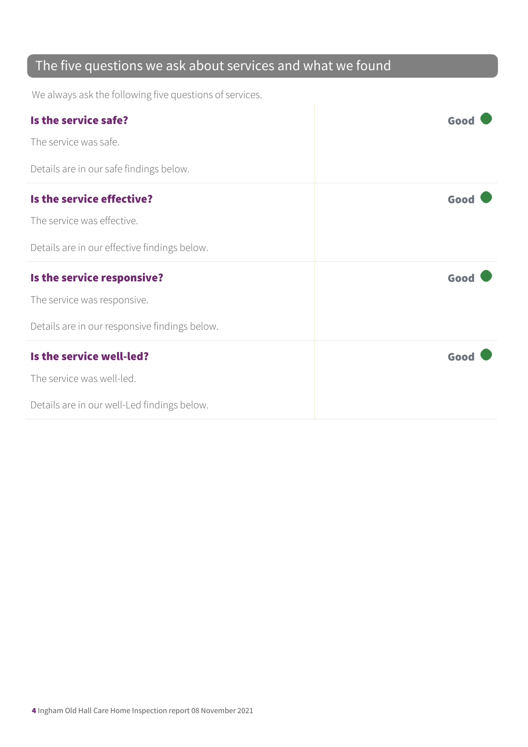### The five questions we ask about services and what we found

We always ask the following five questions of services.

| Is the service safe?                          | Good |
|-----------------------------------------------|------|
| The service was safe.                         |      |
| Details are in our safe findings below.       |      |
| Is the service effective?                     | Good |
| The service was effective.                    |      |
| Details are in our effective findings below.  |      |
|                                               |      |
| Is the service responsive?                    | Good |
| The service was responsive.                   |      |
| Details are in our responsive findings below. |      |
| Is the service well-led?                      | Good |
| The service was well-led.                     |      |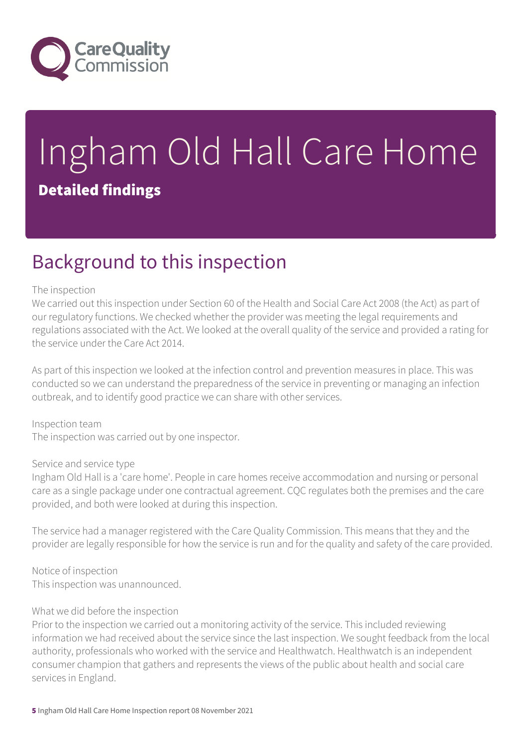

# Ingham Old Hall Care Home Detailed findings

### Background to this inspection

#### The inspection

We carried out this inspection under Section 60 of the Health and Social Care Act 2008 (the Act) as part of our regulatory functions. We checked whether the provider was meeting the legal requirements and regulations associated with the Act. We looked at the overall quality of the service and provided a rating for the service under the Care Act 2014.

As part of this inspection we looked at the infection control and prevention measures in place. This was conducted so we can understand the preparedness of the service in preventing or managing an infection outbreak, and to identify good practice we can share with other services.

Inspection team The inspection was carried out by one inspector.

#### Service and service type

Ingham Old Hall is a 'care home'. People in care homes receive accommodation and nursing or personal care as a single package under one contractual agreement. CQC regulates both the premises and the care provided, and both were looked at during this inspection.

The service had a manager registered with the Care Quality Commission. This means that they and the provider are legally responsible for how the service is run and for the quality and safety of the care provided.

Notice of inspection This inspection was unannounced.

#### What we did before the inspection

Prior to the inspection we carried out a monitoring activity of the service. This included reviewing information we had received about the service since the last inspection. We sought feedback from the local authority, professionals who worked with the service and Healthwatch. Healthwatch is an independent consumer champion that gathers and represents the views of the public about health and social care services in England.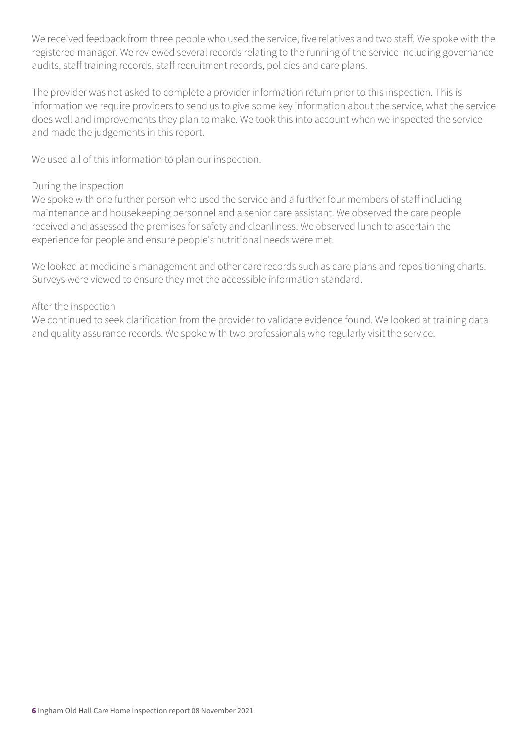We received feedback from three people who used the service, five relatives and two staff. We spoke with the registered manager. We reviewed several records relating to the running of the service including governance audits, staff training records, staff recruitment records, policies and care plans.

The provider was not asked to complete a provider information return prior to this inspection. This is information we require providers to send us to give some key information about the service, what the service does well and improvements they plan to make. We took this into account when we inspected the service and made the judgements in this report.

We used all of this information to plan our inspection.

#### During the inspection

We spoke with one further person who used the service and a further four members of staff including maintenance and housekeeping personnel and a senior care assistant. We observed the care people received and assessed the premises for safety and cleanliness. We observed lunch to ascertain the experience for people and ensure people's nutritional needs were met.

We looked at medicine's management and other care records such as care plans and repositioning charts. Surveys were viewed to ensure they met the accessible information standard.

#### After the inspection

We continued to seek clarification from the provider to validate evidence found. We looked at training data and quality assurance records. We spoke with two professionals who regularly visit the service.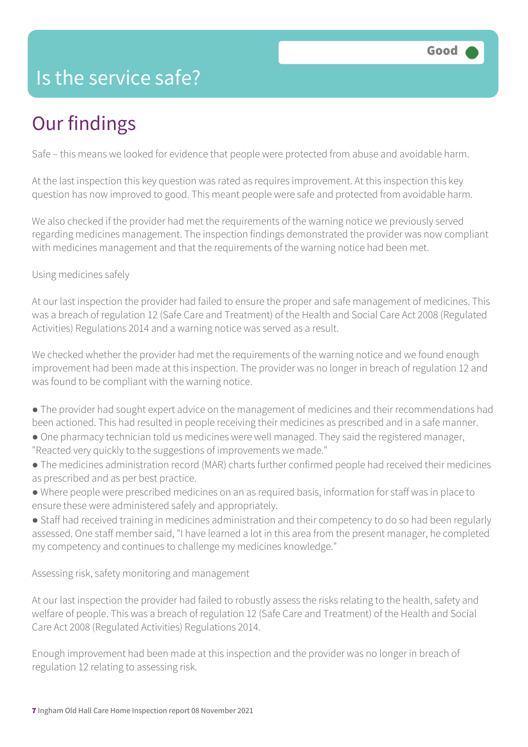### Is the service safe?

# Our findings

Safe – this means we looked for evidence that people were protected from abuse and avoidable harm.

At the last inspection this key question was rated as requires improvement. At this inspection this key question has now improved to good. This meant people were safe and protected from avoidable harm.

We also checked if the provider had met the requirements of the warning notice we previously served regarding medicines management. The inspection findings demonstrated the provider was now compliant with medicines management and that the requirements of the warning notice had been met.

#### Using medicines safely

At our last inspection the provider had failed to ensure the proper and safe management of medicines. This was a breach of regulation 12 (Safe Care and Treatment) of the Health and Social Care Act 2008 (Regulated Activities) Regulations 2014 and a warning notice was served as a result.

We checked whether the provider had met the requirements of the warning notice and we found enough improvement had been made at this inspection. The provider was no longer in breach of regulation 12 and was found to be compliant with the warning notice.

- The provider had sought expert advice on the management of medicines and their recommendations had been actioned. This had resulted in people receiving their medicines as prescribed and in a safe manner.
- One pharmacy technician told us medicines were well managed. They said the registered manager, "Reacted very quickly to the suggestions of improvements we made."
- The medicines administration record (MAR) charts further confirmed people had received their medicines as prescribed and as per best practice.
- Where people were prescribed medicines on an as required basis, information for staff was in place to ensure these were administered safely and appropriately.
- Staff had received training in medicines administration and their competency to do so had been regularly assessed. One staff member said, "I have learned a lot in this area from the present manager, he completed my competency and continues to challenge my medicines knowledge."

Assessing risk, safety monitoring and management

At our last inspection the provider had failed to robustly assess the risks relating to the health, safety and welfare of people. This was a breach of regulation 12 (Safe Care and Treatment) of the Health and Social Care Act 2008 (Regulated Activities) Regulations 2014.

Enough improvement had been made at this inspection and the provider was no longer in breach of regulation 12 relating to assessing risk.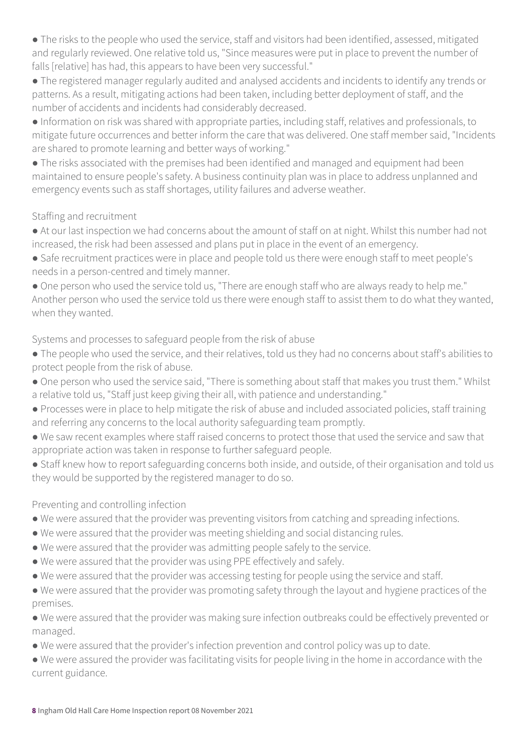● The risks to the people who used the service, staff and visitors had been identified, assessed, mitigated and regularly reviewed. One relative told us, "Since measures were put in place to prevent the number of falls [relative] has had, this appears to have been very successful."

● The registered manager regularly audited and analysed accidents and incidents to identify any trends or patterns. As a result, mitigating actions had been taken, including better deployment of staff, and the number of accidents and incidents had considerably decreased.

● Information on risk was shared with appropriate parties, including staff, relatives and professionals, to mitigate future occurrences and better inform the care that was delivered. One staff member said, "Incidents are shared to promote learning and better ways of working."

● The risks associated with the premises had been identified and managed and equipment had been maintained to ensure people's safety. A business continuity plan was in place to address unplanned and emergency events such as staff shortages, utility failures and adverse weather.

#### Staffing and recruitment

● At our last inspection we had concerns about the amount of staff on at night. Whilst this number had not increased, the risk had been assessed and plans put in place in the event of an emergency.

● Safe recruitment practices were in place and people told us there were enough staff to meet people's needs in a person-centred and timely manner.

• One person who used the service told us, "There are enough staff who are always ready to help me." Another person who used the service told us there were enough staff to assist them to do what they wanted, when they wanted.

Systems and processes to safeguard people from the risk of abuse

- The people who used the service, and their relatives, told us they had no concerns about staff's abilities to protect people from the risk of abuse.
- One person who used the service said, "There is something about staff that makes you trust them." Whilst a relative told us, "Staff just keep giving their all, with patience and understanding."
- Processes were in place to help mitigate the risk of abuse and included associated policies, staff training and referring any concerns to the local authority safeguarding team promptly.
- We saw recent examples where staff raised concerns to protect those that used the service and saw that appropriate action was taken in response to further safeguard people.
- Staff knew how to report safeguarding concerns both inside, and outside, of their organisation and told us they would be supported by the registered manager to do so.

#### Preventing and controlling infection

- We were assured that the provider was preventing visitors from catching and spreading infections.
- We were assured that the provider was meeting shielding and social distancing rules.
- We were assured that the provider was admitting people safely to the service.
- We were assured that the provider was using PPE effectively and safely.
- We were assured that the provider was accessing testing for people using the service and staff.

● We were assured that the provider was promoting safety through the layout and hygiene practices of the premises.

● We were assured that the provider was making sure infection outbreaks could be effectively prevented or managed.

- We were assured that the provider's infection prevention and control policy was up to date.
- We were assured the provider was facilitating visits for people living in the home in accordance with the current guidance.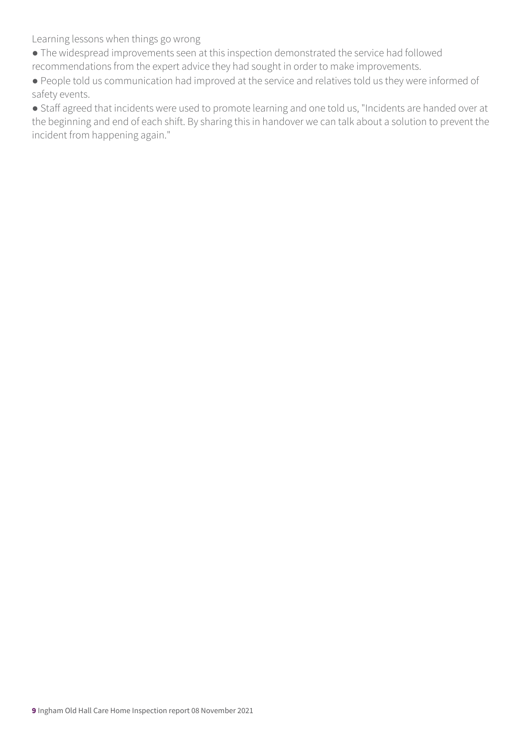Learning lessons when things go wrong

- The widespread improvements seen at this inspection demonstrated the service had followed recommendations from the expert advice they had sought in order to make improvements.
- People told us communication had improved at the service and relatives told us they were informed of safety events.

● Staff agreed that incidents were used to promote learning and one told us, "Incidents are handed over at the beginning and end of each shift. By sharing this in handover we can talk about a solution to prevent the incident from happening again."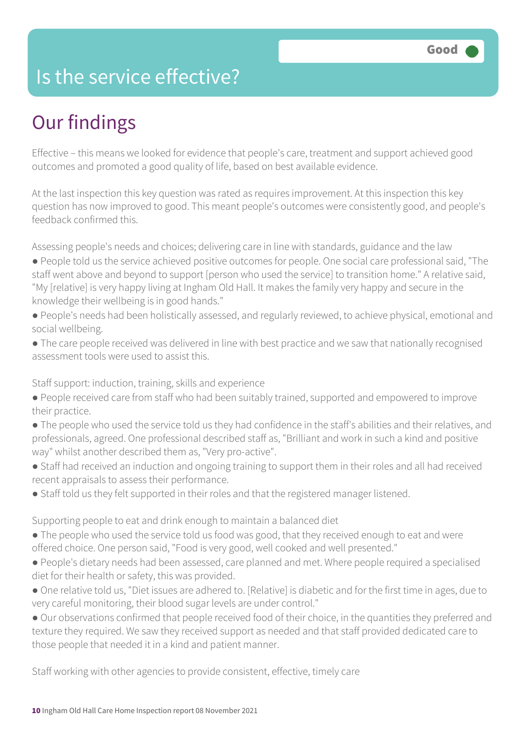### Is the service effective?

## Our findings

Effective – this means we looked for evidence that people's care, treatment and support achieved good outcomes and promoted a good quality of life, based on best available evidence.

At the last inspection this key question was rated as requires improvement. At this inspection this key question has now improved to good. This meant people's outcomes were consistently good, and people's feedback confirmed this.

Assessing people's needs and choices; delivering care in line with standards, guidance and the law

- People told us the service achieved positive outcomes for people. One social care professional said, "The staff went above and beyond to support [person who used the service] to transition home." A relative said, "My [relative] is very happy living at Ingham Old Hall. It makes the family very happy and secure in the knowledge their wellbeing is in good hands."
- People's needs had been holistically assessed, and regularly reviewed, to achieve physical, emotional and social wellbeing.
- The care people received was delivered in line with best practice and we saw that nationally recognised assessment tools were used to assist this.

Staff support: induction, training, skills and experience

- People received care from staff who had been suitably trained, supported and empowered to improve their practice.
- The people who used the service told us they had confidence in the staff's abilities and their relatives, and professionals, agreed. One professional described staff as, "Brilliant and work in such a kind and positive way" whilst another described them as, "Very pro-active".
- Staff had received an induction and ongoing training to support them in their roles and all had received recent appraisals to assess their performance.
- Staff told us they felt supported in their roles and that the registered manager listened.

Supporting people to eat and drink enough to maintain a balanced diet

- The people who used the service told us food was good, that they received enough to eat and were offered choice. One person said, "Food is very good, well cooked and well presented."
- People's dietary needs had been assessed, care planned and met. Where people required a specialised diet for their health or safety, this was provided.
- One relative told us, "Diet issues are adhered to. [Relative] is diabetic and for the first time in ages, due to very careful monitoring, their blood sugar levels are under control."
- Our observations confirmed that people received food of their choice, in the quantities they preferred and texture they required. We saw they received support as needed and that staff provided dedicated care to those people that needed it in a kind and patient manner.

Staff working with other agencies to provide consistent, effective, timely care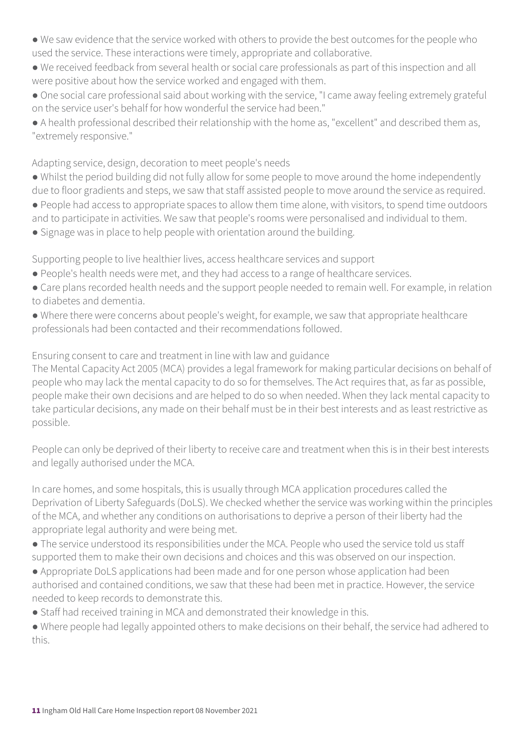- We saw evidence that the service worked with others to provide the best outcomes for the people who used the service. These interactions were timely, appropriate and collaborative.
- We received feedback from several health or social care professionals as part of this inspection and all were positive about how the service worked and engaged with them.
- One social care professional said about working with the service, "I came away feeling extremely grateful on the service user's behalf for how wonderful the service had been."
- A health professional described their relationship with the home as, "excellent" and described them as, "extremely responsive."

#### Adapting service, design, decoration to meet people's needs

- Whilst the period building did not fully allow for some people to move around the home independently due to floor gradients and steps, we saw that staff assisted people to move around the service as required.
- People had access to appropriate spaces to allow them time alone, with visitors, to spend time outdoors and to participate in activities. We saw that people's rooms were personalised and individual to them.
- Signage was in place to help people with orientation around the building.

Supporting people to live healthier lives, access healthcare services and support

- People's health needs were met, and they had access to a range of healthcare services.
- Care plans recorded health needs and the support people needed to remain well. For example, in relation to diabetes and dementia.
- Where there were concerns about people's weight, for example, we saw that appropriate healthcare professionals had been contacted and their recommendations followed.

Ensuring consent to care and treatment in line with law and guidance

The Mental Capacity Act 2005 (MCA) provides a legal framework for making particular decisions on behalf of people who may lack the mental capacity to do so for themselves. The Act requires that, as far as possible, people make their own decisions and are helped to do so when needed. When they lack mental capacity to take particular decisions, any made on their behalf must be in their best interests and as least restrictive as possible.

People can only be deprived of their liberty to receive care and treatment when this is in their best interests and legally authorised under the MCA.

In care homes, and some hospitals, this is usually through MCA application procedures called the Deprivation of Liberty Safeguards (DoLS). We checked whether the service was working within the principles of the MCA, and whether any conditions on authorisations to deprive a person of their liberty had the appropriate legal authority and were being met.

- The service understood its responsibilities under the MCA. People who used the service told us staff supported them to make their own decisions and choices and this was observed on our inspection.
- Appropriate DoLS applications had been made and for one person whose application had been authorised and contained conditions, we saw that these had been met in practice. However, the service needed to keep records to demonstrate this.
- Staff had received training in MCA and demonstrated their knowledge in this.
- Where people had legally appointed others to make decisions on their behalf, the service had adhered to this.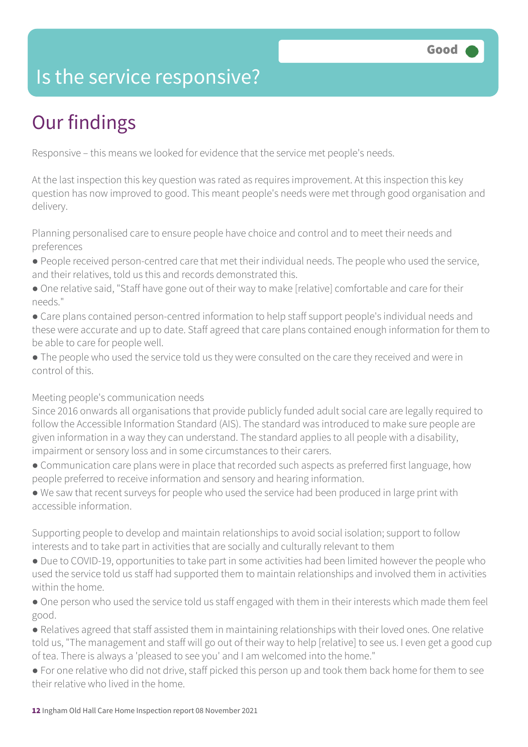### Is the service responsive?

# Our findings

Responsive – this means we looked for evidence that the service met people's needs.

At the last inspection this key question was rated as requires improvement. At this inspection this key question has now improved to good. This meant people's needs were met through good organisation and delivery.

Planning personalised care to ensure people have choice and control and to meet their needs and preferences

- People received person-centred care that met their individual needs. The people who used the service, and their relatives, told us this and records demonstrated this.
- One relative said, "Staff have gone out of their way to make [relative] comfortable and care for their needs."
- Care plans contained person-centred information to help staff support people's individual needs and these were accurate and up to date. Staff agreed that care plans contained enough information for them to be able to care for people well.
- The people who used the service told us they were consulted on the care they received and were in control of this.

Meeting people's communication needs

Since 2016 onwards all organisations that provide publicly funded adult social care are legally required to follow the Accessible Information Standard (AIS). The standard was introduced to make sure people are given information in a way they can understand. The standard applies to all people with a disability, impairment or sensory loss and in some circumstances to their carers.

- Communication care plans were in place that recorded such aspects as preferred first language, how people preferred to receive information and sensory and hearing information.
- We saw that recent surveys for people who used the service had been produced in large print with accessible information.

Supporting people to develop and maintain relationships to avoid social isolation; support to follow interests and to take part in activities that are socially and culturally relevant to them

- Due to COVID-19, opportunities to take part in some activities had been limited however the people who used the service told us staff had supported them to maintain relationships and involved them in activities within the home.
- One person who used the service told us staff engaged with them in their interests which made them feel good.
- Relatives agreed that staff assisted them in maintaining relationships with their loved ones. One relative told us, "The management and staff will go out of their way to help [relative] to see us. I even get a good cup of tea. There is always a 'pleased to see you' and I am welcomed into the home."
- For one relative who did not drive, staff picked this person up and took them back home for them to see their relative who lived in the home.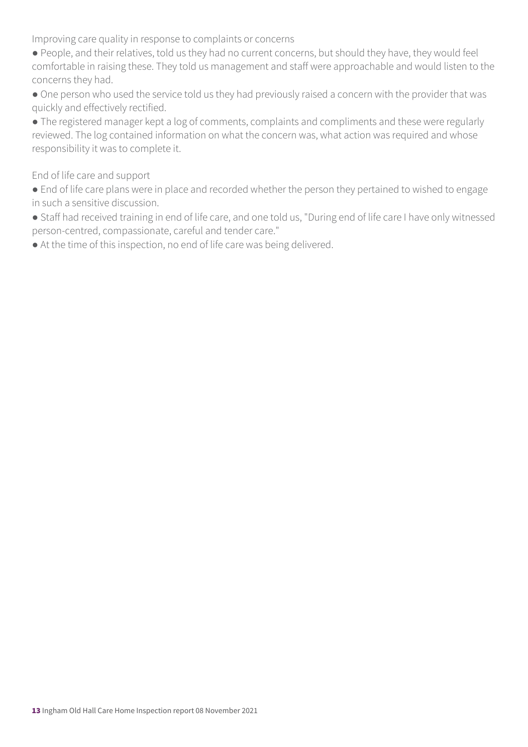Improving care quality in response to complaints or concerns

- People, and their relatives, told us they had no current concerns, but should they have, they would feel comfortable in raising these. They told us management and staff were approachable and would listen to the concerns they had.
- One person who used the service told us they had previously raised a concern with the provider that was quickly and effectively rectified.
- The registered manager kept a log of comments, complaints and compliments and these were regularly reviewed. The log contained information on what the concern was, what action was required and whose responsibility it was to complete it.

#### End of life care and support

- End of life care plans were in place and recorded whether the person they pertained to wished to engage in such a sensitive discussion.
- Staff had received training in end of life care, and one told us, "During end of life care I have only witnessed person-centred, compassionate, careful and tender care."
- At the time of this inspection, no end of life care was being delivered.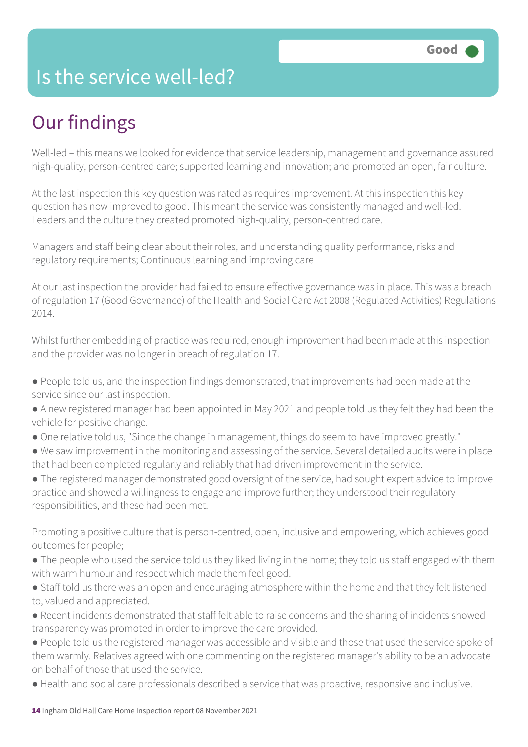### Is the service well-led?

## Our findings

Well-led – this means we looked for evidence that service leadership, management and governance assured high-quality, person-centred care; supported learning and innovation; and promoted an open, fair culture.

At the last inspection this key question was rated as requires improvement. At this inspection this key question has now improved to good. This meant the service was consistently managed and well-led. Leaders and the culture they created promoted high-quality, person-centred care.

Managers and staff being clear about their roles, and understanding quality performance, risks and regulatory requirements; Continuous learning and improving care

At our last inspection the provider had failed to ensure effective governance was in place. This was a breach of regulation 17 (Good Governance) of the Health and Social Care Act 2008 (Regulated Activities) Regulations 2014.

Whilst further embedding of practice was required, enough improvement had been made at this inspection and the provider was no longer in breach of regulation 17.

- People told us, and the inspection findings demonstrated, that improvements had been made at the service since our last inspection.
- A new registered manager had been appointed in May 2021 and people told us they felt they had been the vehicle for positive change.
- One relative told us, "Since the change in management, things do seem to have improved greatly."
- We saw improvement in the monitoring and assessing of the service. Several detailed audits were in place that had been completed regularly and reliably that had driven improvement in the service.
- The registered manager demonstrated good oversight of the service, had sought expert advice to improve practice and showed a willingness to engage and improve further; they understood their regulatory responsibilities, and these had been met.

Promoting a positive culture that is person-centred, open, inclusive and empowering, which achieves good outcomes for people;

- The people who used the service told us they liked living in the home; they told us staff engaged with them with warm humour and respect which made them feel good.
- Staff told us there was an open and encouraging atmosphere within the home and that they felt listened to, valued and appreciated.
- Recent incidents demonstrated that staff felt able to raise concerns and the sharing of incidents showed transparency was promoted in order to improve the care provided.
- People told us the registered manager was accessible and visible and those that used the service spoke of them warmly. Relatives agreed with one commenting on the registered manager's ability to be an advocate on behalf of those that used the service.
- Health and social care professionals described a service that was proactive, responsive and inclusive.